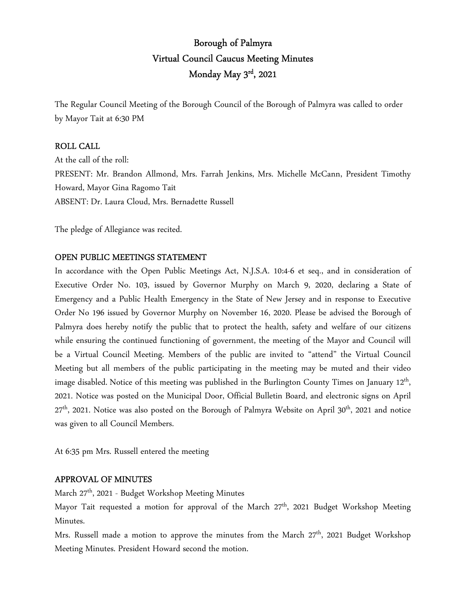# Borough of Palmyra Virtual Council Caucus Meeting Minutes Monday May 3rd , 2021

The Regular Council Meeting of the Borough Council of the Borough of Palmyra was called to order by Mayor Tait at 6:30 PM

## ROLL CALL

At the call of the roll: PRESENT: Mr. Brandon Allmond, Mrs. Farrah Jenkins, Mrs. Michelle McCann, President Timothy Howard, Mayor Gina Ragomo Tait ABSENT: Dr. Laura Cloud, Mrs. Bernadette Russell

The pledge of Allegiance was recited.

## OPEN PUBLIC MEETINGS STATEMENT

In accordance with the Open Public Meetings Act, N.J.S.A. 10:4-6 et seq., and in consideration of Executive Order No. 103, issued by Governor Murphy on March 9, 2020, declaring a State of Emergency and a Public Health Emergency in the State of New Jersey and in response to Executive Order No 196 issued by Governor Murphy on November 16, 2020. Please be advised the Borough of Palmyra does hereby notify the public that to protect the health, safety and welfare of our citizens while ensuring the continued functioning of government, the meeting of the Mayor and Council will be a Virtual Council Meeting. Members of the public are invited to "attend" the Virtual Council Meeting but all members of the public participating in the meeting may be muted and their video image disabled. Notice of this meeting was published in the Burlington County Times on January 12<sup>th</sup>, 2021. Notice was posted on the Municipal Door, Official Bulletin Board, and electronic signs on April 27<sup>th</sup>, 2021. Notice was also posted on the Borough of Palmyra Website on April 30<sup>th</sup>, 2021 and notice was given to all Council Members.

At 6:35 pm Mrs. Russell entered the meeting

## APPROVAL OF MINUTES

March 27<sup>th</sup>, 2021 - Budget Workshop Meeting Minutes

Mayor Tait requested a motion for approval of the March 27<sup>th</sup>, 2021 Budget Workshop Meeting Minutes.

Mrs. Russell made a motion to approve the minutes from the March 27<sup>th</sup>, 2021 Budget Workshop Meeting Minutes. President Howard second the motion.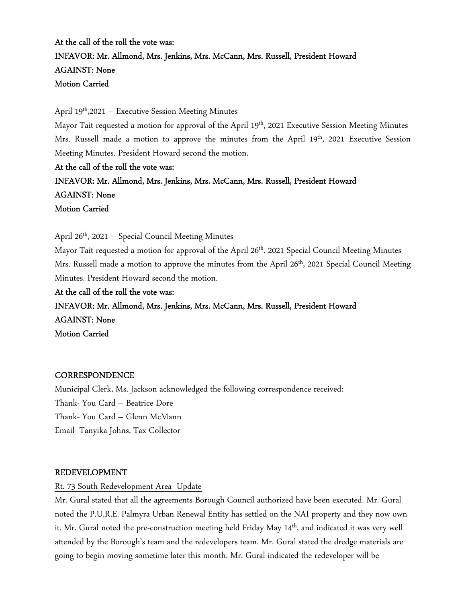## At the call of the roll the vote was: INFAVOR: Mr. Allmond, Mrs. Jenkins, Mrs. McCann, Mrs. Russell, President Howard AGAINST: None Motion Carried

April 19<sup>th</sup>,2021 – Executive Session Meeting Minutes

Mayor Tait requested a motion for approval of the April 19<sup>th</sup>, 2021 Executive Session Meeting Minutes Mrs. Russell made a motion to approve the minutes from the April  $19<sup>th</sup>$ , 2021 Executive Session Meeting Minutes. President Howard second the motion.

At the call of the roll the vote was: INFAVOR: Mr. Allmond, Mrs. Jenkins, Mrs. McCann, Mrs. Russell, President Howard AGAINST: None Motion Carried

April 26<sup>th</sup>, 2021 – Special Council Meeting Minutes

Mayor Tait requested a motion for approval of the April 26<sup>th</sup>. 2021 Special Council Meeting Minutes Mrs. Russell made a motion to approve the minutes from the April 26<sup>th</sup>, 2021 Special Council Meeting Minutes. President Howard second the motion.

At the call of the roll the vote was:

INFAVOR: Mr. Allmond, Mrs. Jenkins, Mrs. McCann, Mrs. Russell, President Howard AGAINST: None Motion Carried

## **CORRESPONDENCE**

Municipal Clerk, Ms. Jackson acknowledged the following correspondence received: Thank- You Card – Beatrice Dore Thank- You Card – Glenn McMann Email- Tanyika Johns, Tax Collector

#### REDEVELOPMENT

Rt. 73 South Redevelopment Area- Update

Mr. Gural stated that all the agreements Borough Council authorized have been executed. Mr. Gural noted the P.U.R.E. Palmyra Urban Renewal Entity has settled on the NAI property and they now own it. Mr. Gural noted the pre-construction meeting held Friday May 14<sup>th</sup>, and indicated it was very well attended by the Borough's team and the redevelopers team. Mr. Gural stated the dredge materials are going to begin moving sometime later this month. Mr. Gural indicated the redeveloper will be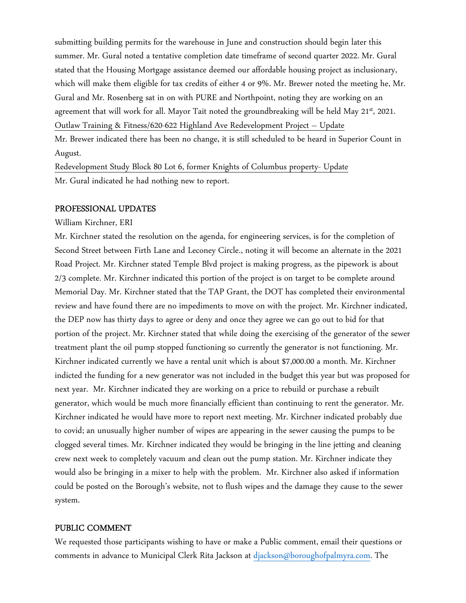submitting building permits for the warehouse in June and construction should begin later this summer. Mr. Gural noted a tentative completion date timeframe of second quarter 2022. Mr. Gural stated that the Housing Mortgage assistance deemed our affordable housing project as inclusionary, which will make them eligible for tax credits of either 4 or 9%. Mr. Brewer noted the meeting he, Mr. Gural and Mr. Rosenberg sat in on with PURE and Northpoint, noting they are working on an agreement that will work for all. Mayor Tait noted the groundbreaking will be held May  $21<sup>st</sup>$ , 2021. Outlaw Training & Fitness/620-622 Highland Ave Redevelopment Project – Update Mr. Brewer indicated there has been no change, it is still scheduled to be heard in Superior Count in August.

Redevelopment Study Block 80 Lot 6, former Knights of Columbus property- Update Mr. Gural indicated he had nothing new to report.

#### PROFESSIONAL UPDATES

William Kirchner, ERI

Mr. Kirchner stated the resolution on the agenda, for engineering services, is for the completion of Second Street between Firth Lane and Leconey Circle., noting it will become an alternate in the 2021 Road Project. Mr. Kirchner stated Temple Blvd project is making progress, as the pipework is about 2/3 complete. Mr. Kirchner indicated this portion of the project is on target to be complete around Memorial Day. Mr. Kirchner stated that the TAP Grant, the DOT has completed their environmental review and have found there are no impediments to move on with the project. Mr. Kirchner indicated, the DEP now has thirty days to agree or deny and once they agree we can go out to bid for that portion of the project. Mr. Kirchner stated that while doing the exercising of the generator of the sewer treatment plant the oil pump stopped functioning so currently the generator is not functioning. Mr. Kirchner indicated currently we have a rental unit which is about \$7,000.00 a month. Mr. Kirchner indicted the funding for a new generator was not included in the budget this year but was proposed for next year. Mr. Kirchner indicated they are working on a price to rebuild or purchase a rebuilt generator, which would be much more financially efficient than continuing to rent the generator. Mr. Kirchner indicated he would have more to report next meeting. Mr. Kirchner indicated probably due to covid; an unusually higher number of wipes are appearing in the sewer causing the pumps to be clogged several times. Mr. Kirchner indicated they would be bringing in the line jetting and cleaning crew next week to completely vacuum and clean out the pump station. Mr. Kirchner indicate they would also be bringing in a mixer to help with the problem. Mr. Kirchner also asked if information could be posted on the Borough's website, not to flush wipes and the damage they cause to the sewer system.

#### PUBLIC COMMENT

We requested those participants wishing to have or make a Public comment, email their questions or comments in advance to Municipal Clerk Rita Jackson at djackson@boroughofpalmyra.com. The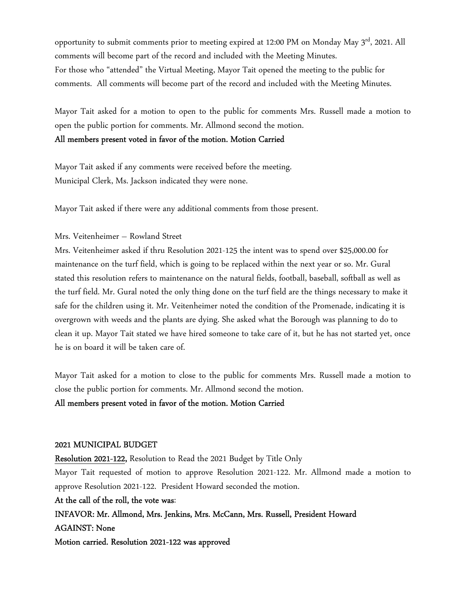opportunity to submit comments prior to meeting expired at 12:00 PM on Monday May 3<sup>rd</sup>, 2021. All comments will become part of the record and included with the Meeting Minutes. For those who "attended" the Virtual Meeting, Mayor Tait opened the meeting to the public for comments. All comments will become part of the record and included with the Meeting Minutes.

Mayor Tait asked for a motion to open to the public for comments Mrs. Russell made a motion to open the public portion for comments. Mr. Allmond second the motion.

All members present voted in favor of the motion. Motion Carried

Mayor Tait asked if any comments were received before the meeting. Municipal Clerk, Ms. Jackson indicated they were none.

Mayor Tait asked if there were any additional comments from those present.

#### Mrs. Veitenheimer – Rowland Street

Mrs. Veitenheimer asked if thru Resolution 2021-125 the intent was to spend over \$25,000.00 for maintenance on the turf field, which is going to be replaced within the next year or so. Mr. Gural stated this resolution refers to maintenance on the natural fields, football, baseball, softball as well as the turf field. Mr. Gural noted the only thing done on the turf field are the things necessary to make it safe for the children using it. Mr. Veitenheimer noted the condition of the Promenade, indicating it is overgrown with weeds and the plants are dying. She asked what the Borough was planning to do to clean it up. Mayor Tait stated we have hired someone to take care of it, but he has not started yet, once he is on board it will be taken care of.

Mayor Tait asked for a motion to close to the public for comments Mrs. Russell made a motion to close the public portion for comments. Mr. Allmond second the motion.

#### All members present voted in favor of the motion. Motion Carried

#### 2021 MUNICIPAL BUDGET

Resolution 2021-122, Resolution to Read the 2021 Budget by Title Only Mayor Tait requested of motion to approve Resolution 2021-122. Mr. Allmond made a motion to approve Resolution 2021-122. President Howard seconded the motion.

At the call of the roll, the vote was:

INFAVOR: Mr. Allmond, Mrs. Jenkins, Mrs. McCann, Mrs. Russell, President Howard AGAINST: None Motion carried. Resolution 2021-122 was approved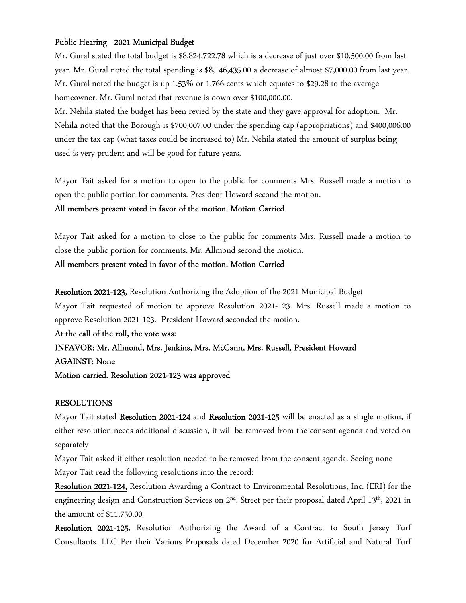## Public Hearing 2021 Municipal Budget

Mr. Gural stated the total budget is \$8,824,722.78 which is a decrease of just over \$10,500.00 from last year. Mr. Gural noted the total spending is \$8,146,435.00 a decrease of almost \$7,000.00 from last year. Mr. Gural noted the budget is up 1.53% or 1.766 cents which equates to \$29.28 to the average homeowner. Mr. Gural noted that revenue is down over \$100,000.00.

Mr. Nehila stated the budget has been revied by the state and they gave approval for adoption. Mr. Nehila noted that the Borough is \$700,007.00 under the spending cap (appropriations) and \$400,006.00 under the tax cap (what taxes could be increased to) Mr. Nehila stated the amount of surplus being used is very prudent and will be good for future years.

Mayor Tait asked for a motion to open to the public for comments Mrs. Russell made a motion to open the public portion for comments. President Howard second the motion.

## All members present voted in favor of the motion. Motion Carried

Mayor Tait asked for a motion to close to the public for comments Mrs. Russell made a motion to close the public portion for comments. Mr. Allmond second the motion.

#### All members present voted in favor of the motion. Motion Carried

## Resolution 2021-123, Resolution Authorizing the Adoption of the 2021 Municipal Budget

Mayor Tait requested of motion to approve Resolution 2021-123. Mrs. Russell made a motion to approve Resolution 2021-123. President Howard seconded the motion.

At the call of the roll, the vote was:

INFAVOR: Mr. Allmond, Mrs. Jenkins, Mrs. McCann, Mrs. Russell, President Howard AGAINST: None

Motion carried. Resolution 2021-123 was approved

## RESOLUTIONS

Mayor Tait stated Resolution 2021-124 and Resolution 2021-125 will be enacted as a single motion, if either resolution needs additional discussion, it will be removed from the consent agenda and voted on separately

Mayor Tait asked if either resolution needed to be removed from the consent agenda. Seeing none Mayor Tait read the following resolutions into the record:

Resolution 2021-124, Resolution Awarding a Contract to Environmental Resolutions, Inc. (ERI) for the engineering design and Construction Services on 2<sup>nd</sup>. Street per their proposal dated April 13<sup>th</sup>, 2021 in the amount of \$11,750.00

Resolution 2021-125, Resolution Authorizing the Award of a Contract to South Jersey Turf Consultants. LLC Per their Various Proposals dated December 2020 for Artificial and Natural Turf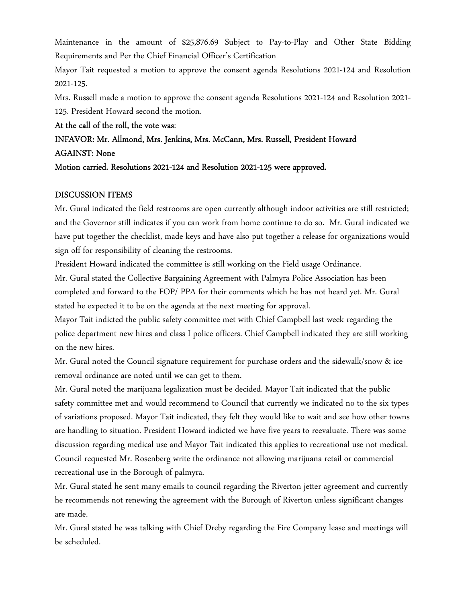Maintenance in the amount of \$25,876.69 Subject to Pay-to-Play and Other State Bidding Requirements and Per the Chief Financial Officer's Certification

Mayor Tait requested a motion to approve the consent agenda Resolutions 2021-124 and Resolution 2021-125.

Mrs. Russell made a motion to approve the consent agenda Resolutions 2021-124 and Resolution 2021- 125. President Howard second the motion.

At the call of the roll, the vote was:

# INFAVOR: Mr. Allmond, Mrs. Jenkins, Mrs. McCann, Mrs. Russell, President Howard

## AGAINST: None

Motion carried. Resolutions 2021-124 and Resolution 2021-125 were approved.

## DISCUSSION ITEMS

Mr. Gural indicated the field restrooms are open currently although indoor activities are still restricted; and the Governor still indicates if you can work from home continue to do so. Mr. Gural indicated we have put together the checklist, made keys and have also put together a release for organizations would sign off for responsibility of cleaning the restrooms.

President Howard indicated the committee is still working on the Field usage Ordinance.

Mr. Gural stated the Collective Bargaining Agreement with Palmyra Police Association has been completed and forward to the FOP/ PPA for their comments which he has not heard yet. Mr. Gural stated he expected it to be on the agenda at the next meeting for approval.

Mayor Tait indicted the public safety committee met with Chief Campbell last week regarding the police department new hires and class I police officers. Chief Campbell indicated they are still working on the new hires.

Mr. Gural noted the Council signature requirement for purchase orders and the sidewalk/snow & ice removal ordinance are noted until we can get to them.

Mr. Gural noted the marijuana legalization must be decided. Mayor Tait indicated that the public safety committee met and would recommend to Council that currently we indicated no to the six types of variations proposed. Mayor Tait indicated, they felt they would like to wait and see how other towns are handling to situation. President Howard indicted we have five years to reevaluate. There was some discussion regarding medical use and Mayor Tait indicated this applies to recreational use not medical. Council requested Mr. Rosenberg write the ordinance not allowing marijuana retail or commercial recreational use in the Borough of palmyra.

Mr. Gural stated he sent many emails to council regarding the Riverton jetter agreement and currently he recommends not renewing the agreement with the Borough of Riverton unless significant changes are made.

Mr. Gural stated he was talking with Chief Dreby regarding the Fire Company lease and meetings will be scheduled.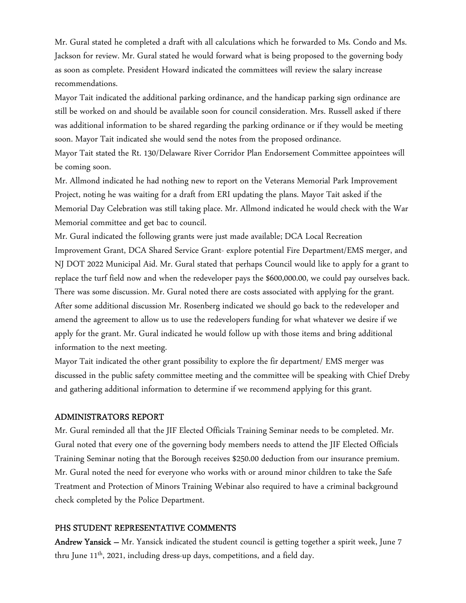Mr. Gural stated he completed a draft with all calculations which he forwarded to Ms. Condo and Ms. Jackson for review. Mr. Gural stated he would forward what is being proposed to the governing body as soon as complete. President Howard indicated the committees will review the salary increase recommendations.

Mayor Tait indicated the additional parking ordinance, and the handicap parking sign ordinance are still be worked on and should be available soon for council consideration. Mrs. Russell asked if there was additional information to be shared regarding the parking ordinance or if they would be meeting soon. Mayor Tait indicated she would send the notes from the proposed ordinance.

Mayor Tait stated the Rt. 130/Delaware River Corridor Plan Endorsement Committee appointees will be coming soon.

Mr. Allmond indicated he had nothing new to report on the Veterans Memorial Park Improvement Project, noting he was waiting for a draft from ERI updating the plans. Mayor Tait asked if the Memorial Day Celebration was still taking place. Mr. Allmond indicated he would check with the War Memorial committee and get bac to council.

Mr. Gural indicated the following grants were just made available; DCA Local Recreation Improvement Grant, DCA Shared Service Grant- explore potential Fire Department/EMS merger, and NJ DOT 2022 Municipal Aid. Mr. Gural stated that perhaps Council would like to apply for a grant to replace the turf field now and when the redeveloper pays the \$600,000.00, we could pay ourselves back. There was some discussion. Mr. Gural noted there are costs associated with applying for the grant. After some additional discussion Mr. Rosenberg indicated we should go back to the redeveloper and amend the agreement to allow us to use the redevelopers funding for what whatever we desire if we apply for the grant. Mr. Gural indicated he would follow up with those items and bring additional information to the next meeting.

Mayor Tait indicated the other grant possibility to explore the fir department/ EMS merger was discussed in the public safety committee meeting and the committee will be speaking with Chief Dreby and gathering additional information to determine if we recommend applying for this grant.

#### ADMINISTRATORS REPORT

Mr. Gural reminded all that the JIF Elected Officials Training Seminar needs to be completed. Mr. Gural noted that every one of the governing body members needs to attend the JIF Elected Officials Training Seminar noting that the Borough receives \$250.00 deduction from our insurance premium. Mr. Gural noted the need for everyone who works with or around minor children to take the Safe Treatment and Protection of Minors Training Webinar also required to have a criminal background check completed by the Police Department.

#### PHS STUDENT REPRESENTATIVE COMMENTS

Andrew Yansick - Mr. Yansick indicated the student council is getting together a spirit week, June 7 thru June 11<sup>th</sup>, 2021, including dress-up days, competitions, and a field day.